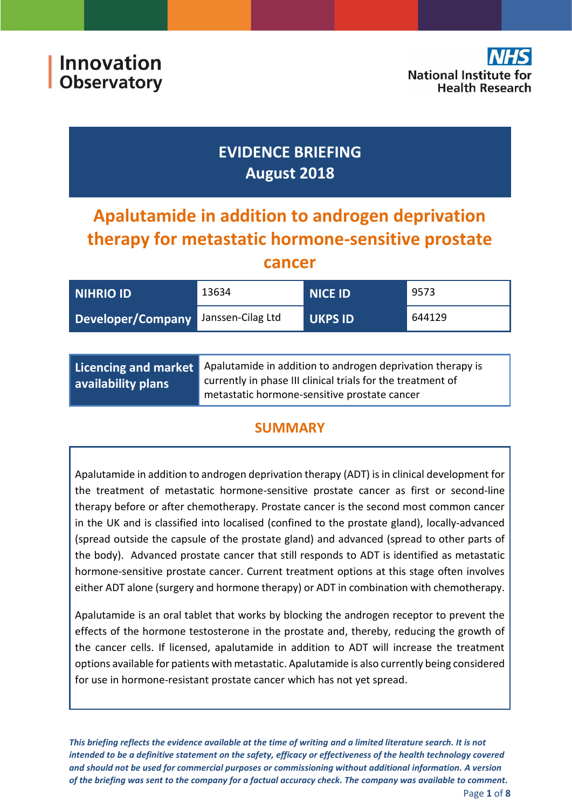# **EVIDENCE BRIEFING August 2018**

# **Apalutamide in addition to androgen deprivation therapy for metastatic hormone-sensitive prostate**

## **cancer**

| NIHRIO ID         | 13634             | <b>NICE ID</b> | 9573   |
|-------------------|-------------------|----------------|--------|
| Developer/Company | Janssen-Cilag Ltd | <b>UKPS ID</b> | 644129 |
|                   |                   |                |        |

|                    | Licencing and market Apalutamide in addition to androgen deprivation therapy is |  |
|--------------------|---------------------------------------------------------------------------------|--|
| availability plans | currently in phase III clinical trials for the treatment of                     |  |
|                    | metastatic hormone-sensitive prostate cancer                                    |  |

# **SUMMARY**

Apalutamide in addition to androgen deprivation therapy (ADT) is in clinical development for the treatment of metastatic hormone-sensitive prostate cancer as first or second-line therapy before or after chemotherapy. Prostate cancer is the second most common cancer in the UK and is classified into localised (confined to the prostate gland), locally‐advanced (spread outside the capsule of the prostate gland) and advanced (spread to other parts of the body). Advanced prostate cancer that still responds to ADT is identified as metastatic hormone-sensitive prostate cancer. Current treatment options at this stage often involves either ADT alone (surgery and hormone therapy) or ADT in combination with chemotherapy.

Apalutamide is an oral tablet that works by blocking the androgen receptor to prevent the effects of the hormone testosterone in the prostate and, thereby, reducing the growth of the cancer cells. If licensed, apalutamide in addition to ADT will increase the treatment options available for patients with metastatic. Apalutamide is also currently being considered for use in hormone-resistant prostate cancer which has not yet spread.

*This briefing reflects the evidence available at the time of writing and a limited literature search. It is not intended to be a definitive statement on the safety, efficacy or effectiveness of the health technology covered and should not be used for commercial purposes or commissioning without additional information. A version of the briefing was sent to the company for a factual accuracy check. The company was available to comment.*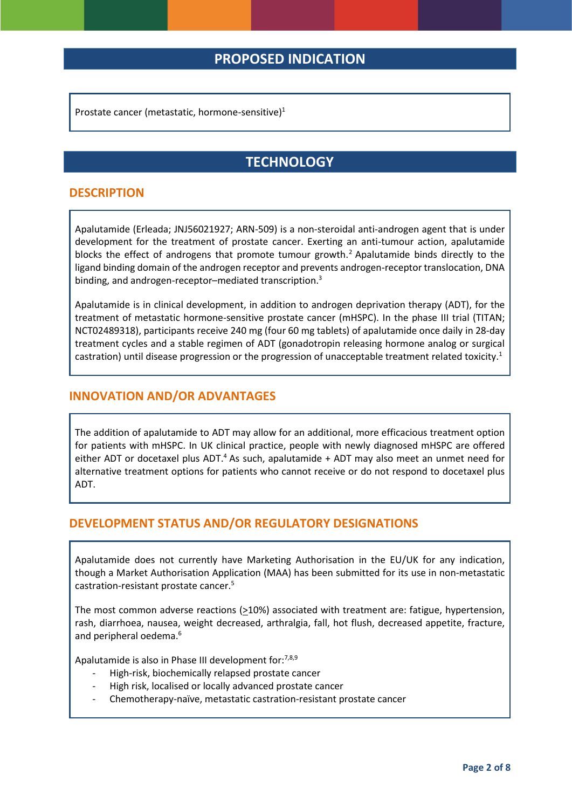## **PROPOSED INDICATION**

Prostate cancer (metastatic, hormone-sensitive)<sup>1</sup>

# <span id="page-1-0"></span>**TECHNOLOGY**

#### **DESCRIPTION**

Apalutamide (Erleada; JNJ56021927; ARN-509) is a non-steroidal anti-androgen agent that is under development for the treatment of prostate cancer. Exerting an anti-tumour action, apalutamide blocks the effect of androgens that promote tumour growth. <sup>2</sup> Apalutamide binds directly to the ligand binding domain of the androgen receptor and prevents androgen-receptor translocation, DNA binding, and androgen-receptor–mediated transcription.<sup>3</sup>

Apalutamide is in clinical development, in addition to androgen deprivation therapy (ADT), for the treatment of metastatic hormone-sensitive prostate cancer (mHSPC). In the phase III trial (TITAN; NCT02489318), participants receive 240 mg (four 60 mg tablets) of apalutamide once daily in 28-day treatment cycles and a stable regimen of ADT (gonadotropin releasing hormone analog or surgical castration) until disease progression or the progression of unacceptable treatment related toxicity[.](#page-1-0)<sup>1</sup>

#### **INNOVATION AND/OR ADVANTAGES**

<span id="page-1-1"></span>The addition of apalutamide to ADT may allow for an additional, more efficacious treatment option for patients with mHSPC. In UK clinical practice, people with newly diagnosed mHSPC are offered either ADT or docetaxel plus ADT.<sup>4</sup> As such, apalutamide + ADT may also meet an unmet need for alternative treatment options for patients who cannot receive or do not respond to docetaxel plus ADT.

#### **DEVELOPMENT STATUS AND/OR REGULATORY DESIGNATIONS**

Apalutamide does not currently have Marketing Authorisation in the EU/UK for any indication, though a Market Authorisation Application (MAA) has been submitted for its use in non-metastatic castration-resistant prostate cancer.<sup>5</sup>

The most common adverse reactions (>10%) associated with treatment are: fatigue, hypertension, rash, diarrhoea, nausea, weight decreased, arthralgia, fall, hot flush, decreased appetite, fracture, and peripheral oedema.<sup>6</sup>

Apalutamide is also in Phase III development for:<sup>7,8,9</sup>

- High-risk, biochemically relapsed prostate cancer
- High risk, localised or locally advanced prostate cancer
- Chemotherapy-naïve, metastatic castration-resistant prostate cancer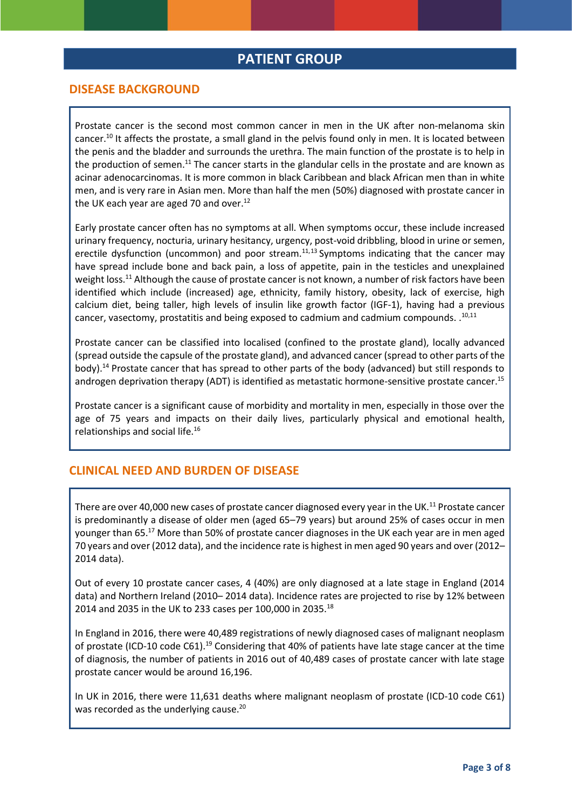### **PATIENT GROUP**

#### **DISEASE BACKGROUND**

<span id="page-2-1"></span><span id="page-2-0"></span>Prostate cancer is the second most common cancer in men in the UK after non-melanoma skin cancer.<sup>10</sup> It affects the prostate, a small gland in the pelvis found only in men. It is located between the penis and the bladder and surrounds the urethra. The main function of the prostate is to help in the production of semen.<sup>11</sup> The cancer starts in the glandular cells in the prostate and are known as acinar adenocarcinomas. It is more common in black Caribbean and black African men than in white men, and is very rare in Asian men. More than half the men (50%) diagnosed with prostate cancer in the UK each year are aged 70 and over.<sup>12</sup>

Early prostate cancer often has no symptoms at all. When symptoms occur, these include increased urinary frequency, nocturia, urinary hesitancy, urgency, post‐void dribbling, blood in urine or semen, erectile dysfunction (uncommon) and poor stream.<sup>[11,1](#page-2-0)3</sup> Symptoms indicating that the cancer may have spread include bone and back pain, a loss of appetite, pain in the testicles and unexplained weight loss.<sup>[11](#page-2-0)</sup> Although the cause of prostate cancer is not known, a number of risk factors have been identified which include (increased) age, ethnicity, family history, obesity, lack of exercise, high calcium diet, being taller, high levels of insulin like growth factor (IGF‐1), having had a previous cancer, vasectomy, prostatitis and being exposed to cadmium and cadmium compounds.  $.^{10,11}$  $.^{10,11}$  $.^{10,11}$  $.^{10,11}$ 

Prostate cancer can be classified into localised (confined to the prostate gland), locally advanced (spread outside the capsule of the prostate gland), and advanced cancer (spread to other parts of the body).<sup>14</sup> Prostate cancer that has spread to other parts of the body (advanced) but still responds to androgen deprivation therapy (ADT) is identified as metastatic hormone-sensitive prostate cancer.<sup>15</sup>

Prostate cancer is a significant cause of morbidity and mortality in men, especially in those over the age of 75 years and impacts on their daily lives, particularly physical and emotional health, relationships and social life.<sup>16</sup>

#### **CLINICAL NEED AND BURDEN OF DISEASE**

<span id="page-2-3"></span>There are over 40,000 new cases of prostate cancer diagnosed every year in the UK.<sup>[11](#page-2-0)</sup> Prostate cancer is predominantly a disease of older men (aged 65–79 years) but around 25% of cases occur in men younger than 65.<sup>17</sup> More than 50% of prostate cancer diagnoses in the UK each year are in men aged 70 years and over (2012 data), and the incidence rate is highest in men aged 90 years and over (2012– 2014 data).

Out of every 10 prostate cancer cases, 4 (40%) are only diagnosed at a late stage in England (2014 data) and Northern Ireland (2010– 2014 data). Incidence rates are projected to rise by 12% between 2014 and 2035 in the UK to 233 cases per 100,000 in 2035.<sup>18</sup>

<span id="page-2-2"></span>In England in 2016, there were 40,489 registrations of newly diagnosed cases of malignant neoplasm of prostate (ICD-10 code C61).<sup>19</sup> Considering that 40% of patients have late stage cancer at the time of diagnosis, the number of patients in 2016 out of 40,489 cases of prostate cancer with late stage prostate cancer would be around 16,196.

In UK in 2016, there were 11,631 deaths where malignant neoplasm of prostate (ICD-10 code C61) was recorded as the underlying cause.<sup>20</sup>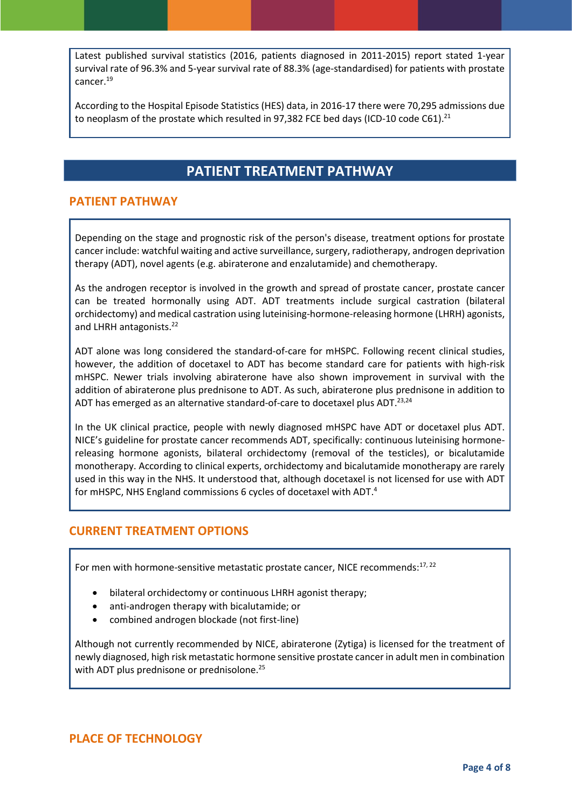Latest published survival statistics (2016, patients diagnosed in 2011‐2015) report stated 1‐year survival rate of 96.3% and 5-year survival rate of 88.3% (age-standardised) for patients with prostate cancer. [19](#page-2-2)

According to the Hospital Episode Statistics (HES) data, in 2016‐17 there were 70,295 admissions due to neoplasm of the prostate which resulted in 97,382 FCE bed days (ICD-10 code C61).<sup>21</sup>

# **PATIENT TREATMENT PATHWAY**

#### **PATIENT PATHWAY**

Depending on the stage and prognostic risk of the person's disease, treatment options for prostate cancer include: watchful waiting and active surveillance, surgery, radiotherapy, androgen deprivation therapy (ADT), novel agents (e.g. abiraterone and enzalutamide) and chemotherapy.

As the androgen receptor is involved in the growth and spread of prostate cancer, prostate cancer can be treated hormonally using ADT. ADT treatments include surgical castration (bilateral orchidectomy) and medical castration using luteinising-hormone-releasing hormone (LHRH) agonists, and LHRH antagonists.<sup>22</sup>

<span id="page-3-0"></span>ADT alone was long considered the standard-of-care for mHSPC. Following recent clinical studies, however, the addition of docetaxel to ADT has become standard care for patients with high-risk mHSPC. Newer trials involving abiraterone have also shown improvement in survival with the addition of abiraterone plus prednisone to ADT. As such, abiraterone plus prednisone in addition to ADT has emerged as an alternative standard-of-care to docetaxel plus ADT.<sup>23,24</sup>

In the UK clinical practice, people with newly diagnosed mHSPC have ADT or docetaxel plus ADT. NICE's guideline for prostate cancer recommends ADT, specifically: continuous luteinising hormonereleasing hormone agonists, bilateral orchidectomy (removal of the testicles), or bicalutamide monotherapy. According to clinical experts, orchidectomy and bicalutamide monotherapy are rarely used in this way in the NHS. It understood that, although docetaxel is not licensed for use with ADT for mHSPC, NHS England commissions 6 cycles of docetaxel with ADT[.](#page-1-1)<sup>4</sup>

#### **CURRENT TREATMENT OPTIONS**

For men with hormone-sensitive metastatic prostate cancer, NICE recommends:<sup>[17,](#page-2-3) [22](#page-3-0)</sup>

- bilateral orchidectomy or continuous LHRH agonist therapy;
- anti-androgen therapy with bicalutamide; or
- combined androgen blockade (not first-line)

Although not currently recommended by NICE, abiraterone (Zytiga) is licensed for the treatment of newly diagnosed, high risk metastatic hormone sensitive prostate cancer in adult men in combination with ADT plus prednisone or prednisolone.<sup>25</sup>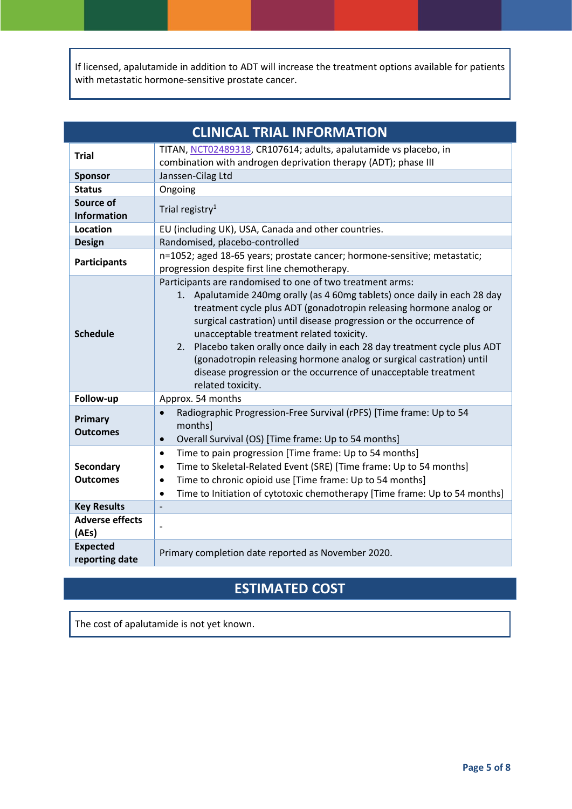If licensed, apalutamide in addition to ADT will increase the treatment options available for patients with metastatic hormone-sensitive prostate cancer.

| <b>CLINICAL TRIAL INFORMATION</b>   |                                                                                                                                                                                                                                                                                                                                                                                                                                                                                                                                                                               |  |
|-------------------------------------|-------------------------------------------------------------------------------------------------------------------------------------------------------------------------------------------------------------------------------------------------------------------------------------------------------------------------------------------------------------------------------------------------------------------------------------------------------------------------------------------------------------------------------------------------------------------------------|--|
| <b>Trial</b>                        | TITAN, NCT02489318, CR107614; adults, apalutamide vs placebo, in<br>combination with androgen deprivation therapy (ADT); phase III                                                                                                                                                                                                                                                                                                                                                                                                                                            |  |
| <b>Sponsor</b>                      | Janssen-Cilag Ltd                                                                                                                                                                                                                                                                                                                                                                                                                                                                                                                                                             |  |
| <b>Status</b>                       | Ongoing                                                                                                                                                                                                                                                                                                                                                                                                                                                                                                                                                                       |  |
| Source of<br><b>Information</b>     | Trial registry <sup>1</sup>                                                                                                                                                                                                                                                                                                                                                                                                                                                                                                                                                   |  |
| Location                            | EU (including UK), USA, Canada and other countries.                                                                                                                                                                                                                                                                                                                                                                                                                                                                                                                           |  |
| <b>Design</b>                       | Randomised, placebo-controlled                                                                                                                                                                                                                                                                                                                                                                                                                                                                                                                                                |  |
| <b>Participants</b>                 | n=1052; aged 18-65 years; prostate cancer; hormone-sensitive; metastatic;<br>progression despite first line chemotherapy.                                                                                                                                                                                                                                                                                                                                                                                                                                                     |  |
| <b>Schedule</b>                     | Participants are randomised to one of two treatment arms:<br>1. Apalutamide 240mg orally (as 4 60mg tablets) once daily in each 28 day<br>treatment cycle plus ADT (gonadotropin releasing hormone analog or<br>surgical castration) until disease progression or the occurrence of<br>unacceptable treatment related toxicity.<br>2. Placebo taken orally once daily in each 28 day treatment cycle plus ADT<br>(gonadotropin releasing hormone analog or surgical castration) until<br>disease progression or the occurrence of unacceptable treatment<br>related toxicity. |  |
| Follow-up                           | Approx. 54 months                                                                                                                                                                                                                                                                                                                                                                                                                                                                                                                                                             |  |
| Primary<br><b>Outcomes</b>          | Radiographic Progression-Free Survival (rPFS) [Time frame: Up to 54<br>$\bullet$<br>monthsl<br>Overall Survival (OS) [Time frame: Up to 54 months]<br>$\bullet$                                                                                                                                                                                                                                                                                                                                                                                                               |  |
| <b>Secondary</b><br><b>Outcomes</b> | Time to pain progression [Time frame: Up to 54 months]<br>$\bullet$<br>Time to Skeletal-Related Event (SRE) [Time frame: Up to 54 months]<br>$\bullet$<br>Time to chronic opioid use [Time frame: Up to 54 months]<br>$\bullet$<br>Time to Initiation of cytotoxic chemotherapy [Time frame: Up to 54 months]<br>$\bullet$                                                                                                                                                                                                                                                    |  |
| <b>Key Results</b>                  |                                                                                                                                                                                                                                                                                                                                                                                                                                                                                                                                                                               |  |
| <b>Adverse effects</b><br>(AEs)     |                                                                                                                                                                                                                                                                                                                                                                                                                                                                                                                                                                               |  |
| <b>Expected</b><br>reporting date   | Primary completion date reported as November 2020.                                                                                                                                                                                                                                                                                                                                                                                                                                                                                                                            |  |

# **ESTIMATED COST**

The cost of apalutamide is not yet known.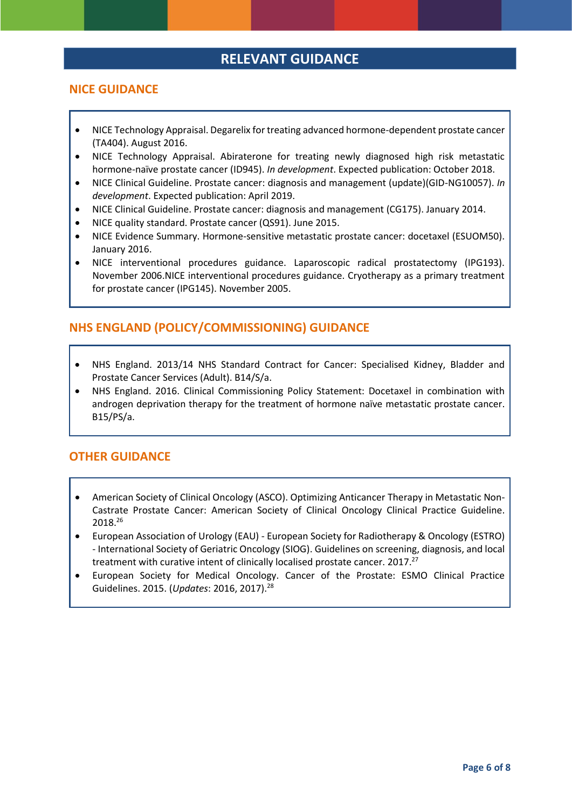# **RELEVANT GUIDANCE**

#### **NICE GUIDANCE**

- NICE Technology Appraisal. Degarelix for treating advanced hormone-dependent prostate cancer (TA404). August 2016.
- NICE Technology Appraisal. Abiraterone for treating newly diagnosed high risk metastatic hormone-naïve prostate cancer (ID945). *In development*. Expected publication: October 2018.
- NICE Clinical Guideline. Prostate cancer: diagnosis and management (update)(GID-NG10057). *In development*. Expected publication: April 2019.
- NICE Clinical Guideline. Prostate cancer: diagnosis and management (CG175). January 2014.
- NICE quality standard. Prostate cancer (QS91). June 2015.
- NICE Evidence Summary. Hormone-sensitive metastatic prostate cancer: docetaxel (ESUOM50). January 2016.
- NICE interventional procedures guidance. Laparoscopic radical prostatectomy (IPG193). November 2006.NICE interventional procedures guidance. Cryotherapy as a primary treatment for prostate cancer (IPG145). November 2005.

#### **NHS ENGLAND (POLICY/COMMISSIONING) GUIDANCE**

- NHS England. 2013/14 NHS Standard Contract for Cancer: Specialised Kidney, Bladder and Prostate Cancer Services (Adult). B14/S/a.
- NHS England. 2016. Clinical Commissioning Policy Statement: Docetaxel in combination with androgen deprivation therapy for the treatment of hormone naïve metastatic prostate cancer. B15/PS/a.

#### **OTHER GUIDANCE**

- American Society of Clinical Oncology (ASCO). Optimizing Anticancer Therapy in Metastatic Non-Castrate Prostate Cancer: American Society of Clinical Oncology Clinical Practice Guideline. 2018.<sup>26</sup>
- European Association of Urology (EAU) European Society for Radiotherapy & Oncology (ESTRO) - International Society of Geriatric Oncology (SIOG). Guidelines on screening, diagnosis, and local treatment with curative intent of clinically localised prostate cancer. 2017.<sup>27</sup>
- European Society for Medical Oncology. Cancer of the Prostate: ESMO Clinical Practice Guidelines. 2015. (*Updates*: 2016, 2017).28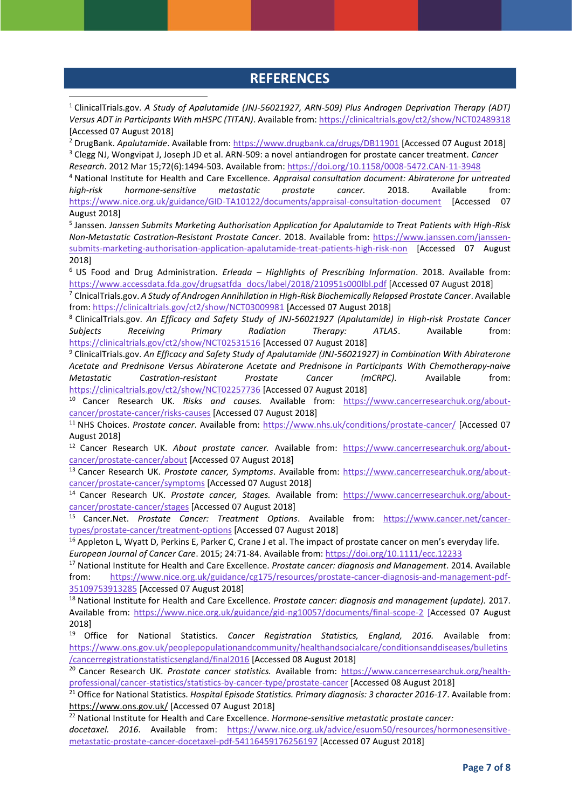### **REFERENCES**

1

<sup>1</sup> ClinicalTrials.gov. *A Study of Apalutamide (JNJ-56021927, ARN-509) Plus Androgen Deprivation Therapy (ADT) Versus ADT in Participants With mHSPC (TITAN)*. Available from: <https://clinicaltrials.gov/ct2/show/NCT02489318> [Accessed 07 August 2018]

<sup>2</sup> DrugBank. *Apalutamide*. Available from:<https://www.drugbank.ca/drugs/DB11901> [Accessed 07 August 2018] <sup>3</sup> Clegg NJ, Wongvipat J, Joseph JD et al. ARN-509: a novel antiandrogen for prostate cancer treatment. *Cancer Research*. 2012 Mar 15;72(6):1494-503. Available from:<https://doi.org/10.1158/0008-5472.CAN-11-3948>

<sup>4</sup> National Institute for Health and Care Excellence. *Appraisal consultation document: Abiraterone for untreated high-risk hormone-sensitive metastatic prostate cancer.* 2018. Available from: <https://www.nice.org.uk/guidance/GID-TA10122/documents/appraisal-consultation-document> [Accessed 07 August 2018]

5 Janssen. *Janssen Submits Marketing Authorisation Application for Apalutamide to Treat Patients with High-Risk Non-Metastatic Castration-Resistant Prostate Cancer*. 2018. Available from: [https://www.janssen.com/janssen](https://www.janssen.com/janssen-submits-marketing-authorisation-application-apalutamide-treat-patients-high-risk-non)[submits-marketing-authorisation-application-apalutamide-treat-patients-high-risk-non](https://www.janssen.com/janssen-submits-marketing-authorisation-application-apalutamide-treat-patients-high-risk-non) [Accessed 07 August 2018]

<sup>6</sup> US Food and Drug Administration. *Erleada – Highlights of Prescribing Information*. 2018. Available from: [https://www.accessdata.fda.gov/drugsatfda\\_docs/label/2018/210951s000lbl.pdf](https://www.accessdata.fda.gov/drugsatfda_docs/label/2018/210951s000lbl.pdf) [Accessed 07 August 2018]

<sup>7</sup> ClnicalTrials.gov. *A Study of Androgen Annihilation in High-Risk Biochemically Relapsed Prostate Cancer*. Available from[: https://clinicaltrials.gov/ct2/show/NCT03009981](https://clinicaltrials.gov/ct2/show/NCT03009981) [Accessed 07 August 2018]

<sup>8</sup> ClinicalTrials.gov. *An Efficacy and Safety Study of JNJ-56021927 (Apalutamide) in High-risk Prostate Cancer Subjects Receiving Primary Radiation Therapy: ATLAS*. Available from: <https://clinicaltrials.gov/ct2/show/NCT02531516> [Accessed 07 August 2018]

<sup>9</sup> ClinicalTrials.gov. *An Efficacy and Safety Study of Apalutamide (JNJ-56021927) in Combination With Abiraterone Acetate and Prednisone Versus Abiraterone Acetate and Prednisone in Participants With Chemotherapy-naive Metastatic Castration-resistant Prostate Cancer (mCRPC).* Available from: <https://clinicaltrials.gov/ct2/show/NCT02257736> [Accessed 07 August 2018]

<sup>10</sup> Cancer Research UK. *Risks and causes.* Available from: [https://www.cancerresearchuk.org/about](https://www.cancerresearchuk.org/about-cancer/prostate-cancer/risks-causes)[cancer/prostate-cancer/risks-causes](https://www.cancerresearchuk.org/about-cancer/prostate-cancer/risks-causes) [Accessed 07 August 2018]

<sup>11</sup> NHS Choices. Prostate cancer. Available from:<https://www.nhs.uk/conditions/prostate-cancer/> [Accessed 07 August 2018]

<sup>12</sup> Cancer Research UK. *About prostate cancer.* Available from: [https://www.cancerresearchuk.org/about](https://www.cancerresearchuk.org/about-cancer/prostate-cancer/about)[cancer/prostate-cancer/about](https://www.cancerresearchuk.org/about-cancer/prostate-cancer/about) [Accessed 07 August 2018]

<sup>13</sup> Cancer Research UK. *Prostate cancer, Symptoms*. Available from: [https://www.cancerresearchuk.org/about](https://www.cancerresearchuk.org/about-cancer/prostate-cancer/symptoms)[cancer/prostate-cancer/symptoms](https://www.cancerresearchuk.org/about-cancer/prostate-cancer/symptoms) [Accessed 07 August 2018]

<sup>14</sup> Cancer Research UK. *Prostate cancer, Stages.* Available from: [https://www.cancerresearchuk.org/about](https://www.cancerresearchuk.org/about-cancer/prostate-cancer/stages)[cancer/prostate-cancer/stages](https://www.cancerresearchuk.org/about-cancer/prostate-cancer/stages) [Accessed 07 August 2018]

<sup>15</sup> Cancer.Net. *Prostate Cancer: Treatment Options*. Available from: [https://www.cancer.net/cancer](https://www.cancer.net/cancer-types/prostate-cancer/treatment-options)[types/prostate-cancer/treatment-options](https://www.cancer.net/cancer-types/prostate-cancer/treatment-options) [Accessed 07 August 2018]

<sup>16</sup> Appleton L, Wyatt D, Perkins E, Parker C, Crane J et al. The impact of prostate cancer on men's everyday life. *European Journal of Cancer Care*. 2015; 24:71‐84. Available from: <https://doi.org/10.1111/ecc.12233>

<sup>17</sup> National Institute for Health and Care Excellence. *Prostate cancer: diagnosis and Management*. 2014. Available from: [https://www.nice.org.uk/guidance/cg175/resources/prostate-cancer-diagnosis-and-management-pdf-](https://www.nice.org.uk/guidance/cg175/resources/prostate-cancer-diagnosis-and-management-pdf-35109753913285)[35109753913285](https://www.nice.org.uk/guidance/cg175/resources/prostate-cancer-diagnosis-and-management-pdf-35109753913285) [Accessed 07 August 2018]

<sup>18</sup> National Institute for Health and Care Excellence. *Prostate cancer: diagnosis and management (update).* 2017. Available from:<https://www.nice.org.uk/guidance/gid-ng10057/documents/final-scope-2> [Accessed 07 August 2018]

<sup>19</sup> Office for National Statistics. *Cancer Registration Statistics, England, 2016.* Available from: [https://www.ons.gov.uk/peoplepopulationandcommunity/healthandsocialcare/conditionsanddiseases/bulletins](https://www.ons.gov.uk/peoplepopulationandcommunity/healthandsocialcare/conditionsanddiseases/bulletins/cancerregistrationstatisticsengland/final2016) [/cancerregistrationstatisticsengland/final2016](https://www.ons.gov.uk/peoplepopulationandcommunity/healthandsocialcare/conditionsanddiseases/bulletins/cancerregistrationstatisticsengland/final2016) [Accessed 08 August 2018]

<sup>20</sup> Cancer Research UK. Prostate cancer statistics. Available from: [https://www.cancerresearchuk.org/health](https://www.cancerresearchuk.org/health-professional/cancer-statistics/statistics-by-cancer-type/prostate-cancer)[professional/cancer-statistics/statistics-by-cancer-type/prostate-cancer](https://www.cancerresearchuk.org/health-professional/cancer-statistics/statistics-by-cancer-type/prostate-cancer) [Accessed 08 August 2018]

<sup>21</sup> Office for National Statistics. *Hospital Episode Statistics. Primary diagnosis: 3 character 2016‐17*. Available from: <https://www.ons.gov.uk/> [Accessed 07 August 2018]

<sup>22</sup> National Institute for Health and Care Excellence. *Hormone-sensitive metastatic prostate cancer:*

*docetaxel. 2016*. Available from: [https://www.nice.org.uk/advice/esuom50/resources/hormonesensitive](https://www.nice.org.uk/advice/esuom50/resources/hormonesensitive-metastatic-prostate-cancer-docetaxel-pdf-54116459176256197)[metastatic-prostate-cancer-docetaxel-pdf-54116459176256197](https://www.nice.org.uk/advice/esuom50/resources/hormonesensitive-metastatic-prostate-cancer-docetaxel-pdf-54116459176256197) [Accessed 07 August 2018]